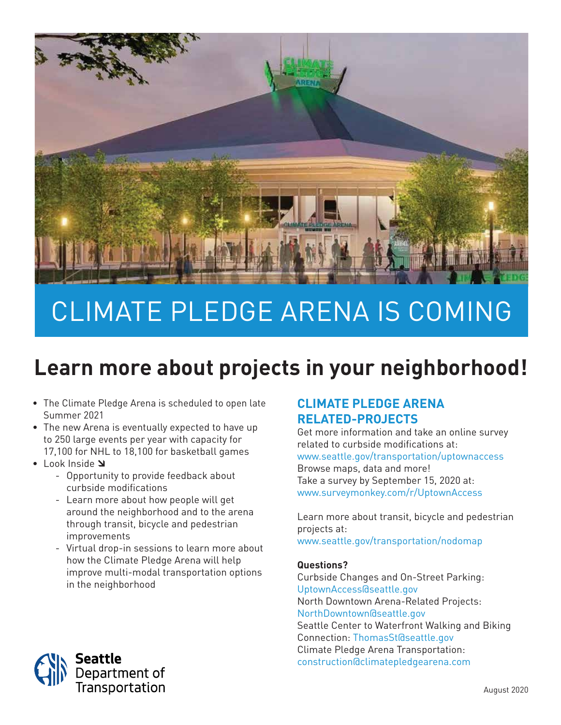

# CLIMATE PLEDGE ARENA IS COMING

# **Learn more about projects in your neighborhood!**

- The Climate Pledge Arena is scheduled to open late Summer 2021
- The new Arena is eventually expected to have up to 250 large events per year with capacity for 17,100 for NHL to 18,100 for basketball games
- Look Inside Y
	- Opportunity to provide feedback about curbside modifications
	- Learn more about how people will get around the neighborhood and to the arena through transit, bicycle and pedestrian improvements
	- Virtual drop-in sessions to learn more about how the Climate Pledge Arena will help improve multi-modal transportation options in the neighborhood

### **CLIMATE PLEDGE ARENA RELATED-PROJECTS**

Get more information and take an online survey related to curbside modifications at: <www.seattle.gov/transportation/uptownaccess> Browse maps, data and more! Take a survey by September 15, 2020 at: <www.surveymonkey.com/r/UptownAccess>

Learn more about transit, bicycle and pedestrian projects at: <www.seattle.gov/transportation/nodomap>

#### **Questions?**

Curbside Changes and On-Street Parking: [UptownAccess@seattle.gov](mailto:UptownAccess@seattle.gov) North Downtown Arena-Related Projects: [NorthDowntown@seattle.gov](mailto:NorthDowntown@seattle.gov) Seattle Center to Waterfront Walking and Biking Connection: ThomasSt@seattle.gov Climate Pledge Arena Transportation: [construction@climatepledgearena.com](mailto:construction@climatepledgearena.com)